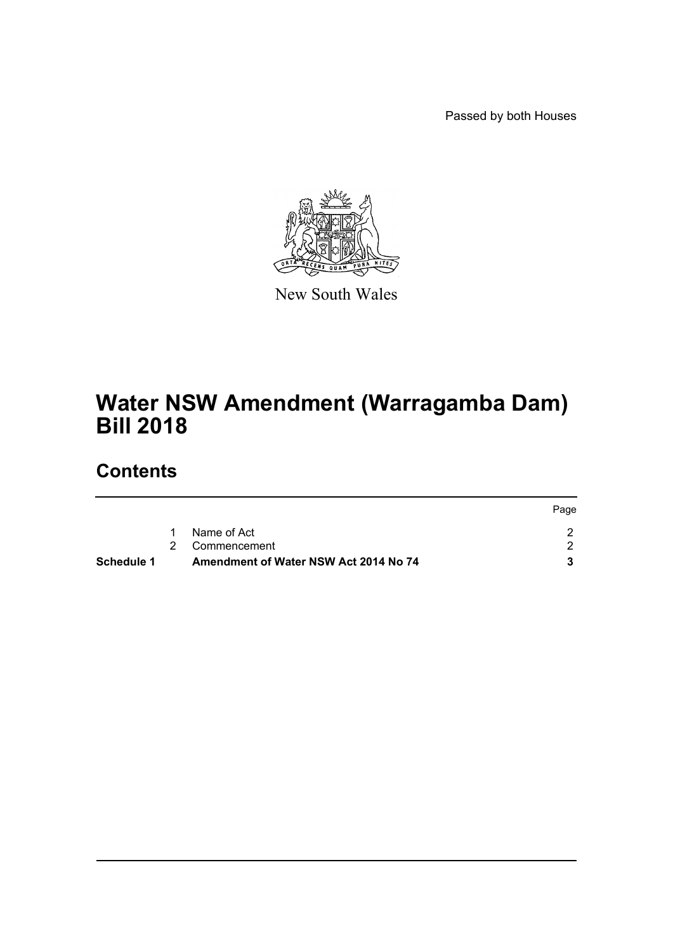Passed by both Houses



New South Wales

# **Water NSW Amendment (Warragamba Dam) Bill 2018**

# **Contents**

| Schedule 1 | Amendment of Water NSW Act 2014 No 74 |      |
|------------|---------------------------------------|------|
|            | 2 Commencement                        |      |
|            | Name of Act                           |      |
|            |                                       | Page |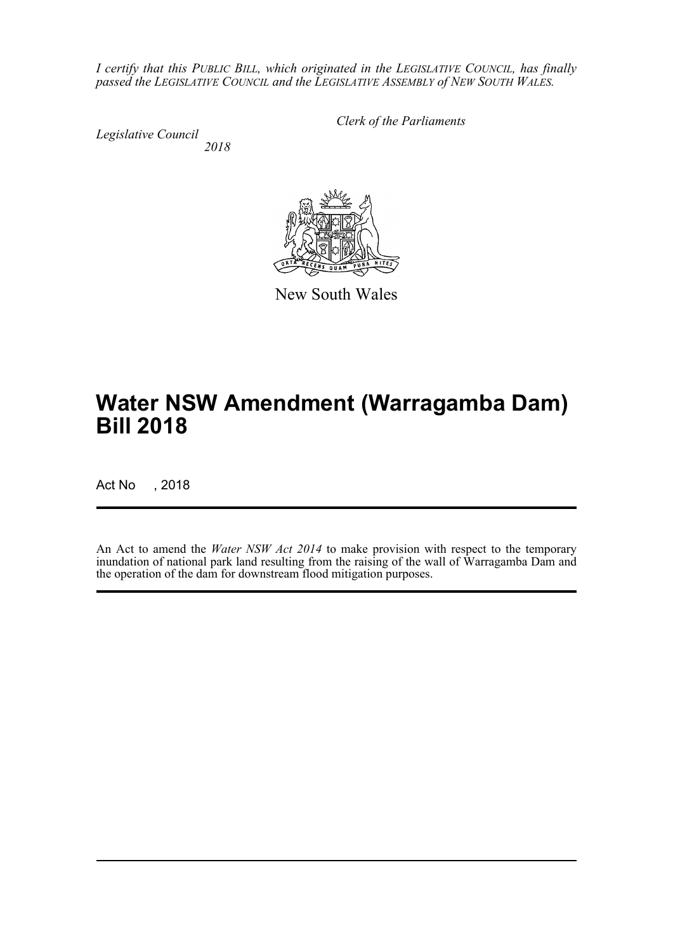*I certify that this PUBLIC BILL, which originated in the LEGISLATIVE COUNCIL, has finally passed the LEGISLATIVE COUNCIL and the LEGISLATIVE ASSEMBLY of NEW SOUTH WALES.*

*Legislative Council 2018* *Clerk of the Parliaments*

New South Wales

# **Water NSW Amendment (Warragamba Dam) Bill 2018**

Act No , 2018

An Act to amend the *Water NSW Act 2014* to make provision with respect to the temporary inundation of national park land resulting from the raising of the wall of Warragamba Dam and the operation of the dam for downstream flood mitigation purposes.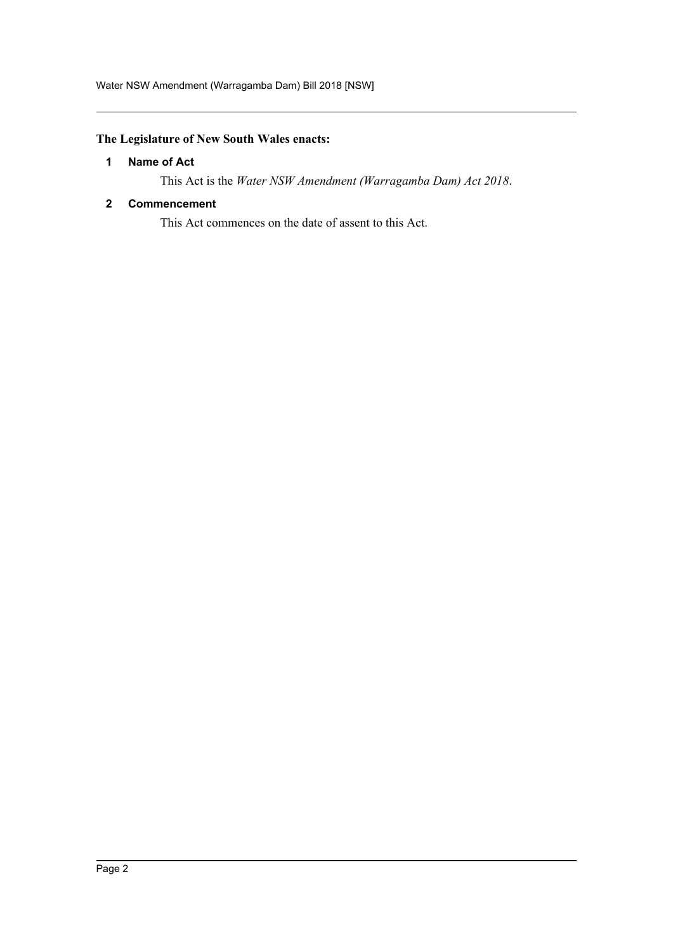## <span id="page-2-0"></span>**The Legislature of New South Wales enacts:**

## **1 Name of Act**

This Act is the *Water NSW Amendment (Warragamba Dam) Act 2018*.

## <span id="page-2-1"></span>**2 Commencement**

This Act commences on the date of assent to this Act.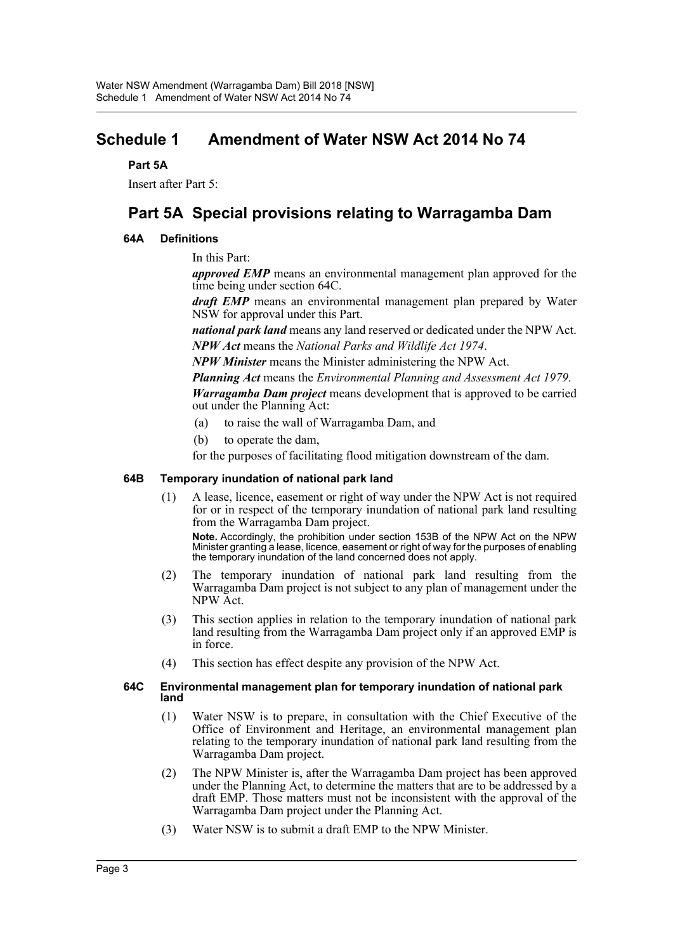# <span id="page-3-0"></span>**Schedule 1 Amendment of Water NSW Act 2014 No 74**

### **Part 5A**

Insert after Part 5:

# **Part 5A Special provisions relating to Warragamba Dam**

### **64A Definitions**

In this Part:

*approved EMP* means an environmental management plan approved for the time being under section 64C.

draft EMP means an environmental management plan prepared by Water NSW for approval under this Part.

*national park land* means any land reserved or dedicated under the NPW Act. *NPW Act* means the *National Parks and Wildlife Act 1974*.

*NPW Minister* means the Minister administering the NPW Act.

*Planning Act* means the *Environmental Planning and Assessment Act 1979*.

*Warragamba Dam project* means development that is approved to be carried out under the Planning Act:

- (a) to raise the wall of Warragamba Dam, and
- (b) to operate the dam,

for the purposes of facilitating flood mitigation downstream of the dam.

### **64B Temporary inundation of national park land**

(1) A lease, licence, easement or right of way under the NPW Act is not required for or in respect of the temporary inundation of national park land resulting from the Warragamba Dam project.

**Note.** Accordingly, the prohibition under section 153B of the NPW Act on the NPW Minister granting a lease, licence, easement or right of way for the purposes of enabling the temporary inundation of the land concerned does not apply.

- (2) The temporary inundation of national park land resulting from the Warragamba Dam project is not subject to any plan of management under the NPW Act.
- (3) This section applies in relation to the temporary inundation of national park land resulting from the Warragamba Dam project only if an approved EMP is in force.
- (4) This section has effect despite any provision of the NPW Act.

### **64C Environmental management plan for temporary inundation of national park land**

- (1) Water NSW is to prepare, in consultation with the Chief Executive of the Office of Environment and Heritage, an environmental management plan relating to the temporary inundation of national park land resulting from the Warragamba Dam project.
- (2) The NPW Minister is, after the Warragamba Dam project has been approved under the Planning Act, to determine the matters that are to be addressed by a draft EMP. Those matters must not be inconsistent with the approval of the Warragamba Dam project under the Planning Act.
- (3) Water NSW is to submit a draft EMP to the NPW Minister.